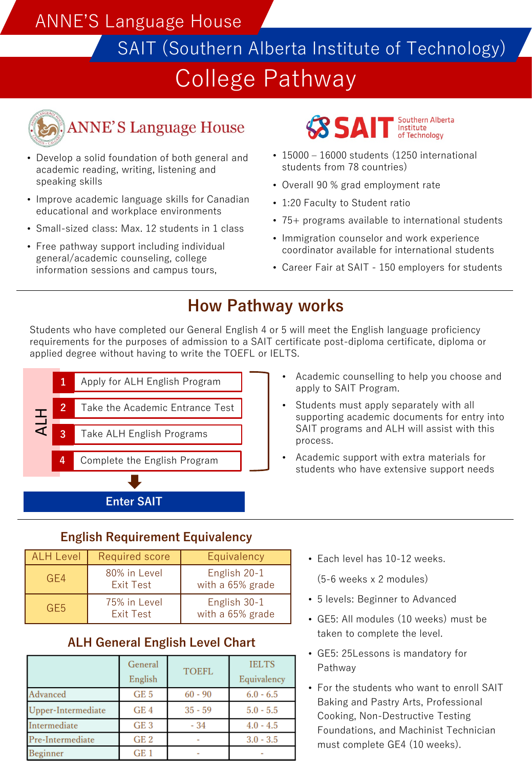## ANNE'S Language House

SAIT (Southern Alberta Institute of Technology)

# College Pathway



# **ANNE'S Language House**

- Develop a solid foundation of both general and academic reading, writing, listening and speaking skills
- Improve academic language skills for Canadian educational and workplace environments
- Small-sized class: Max. 12 students in 1 class
- Free pathway support including individual general/academic counseling, college information sessions and campus tours,

Southern Alberta **SSAIT** Institute of Technology

- 15000 16000 students (1250 international students from 78 countries)
- Overall 90 % grad employment rate
- 1:20 Faculty to Student ratio
- 75+ programs available to international students
- Immigration counselor and work experience coordinator available for international students
- Career Fair at SAIT 150 employers for students

### **How Pathway works**

Students who have completed our General English 4 or 5 will meet the English language proficiency requirements for the purposes of admission to a SAIT certificate post-diploma certificate, diploma or applied degree without having to write the TOEFL or IELTS.



- Academic counselling to help you choose and apply to SAIT Program.
- Students must apply separately with all supporting academic documents for entry into SAIT programs and ALH will assist with this process.
- Academic support with extra materials for students who have extensive support needs

### **English Requirement Equivalency**

| <b>ALH Level</b> | Required score                   | Equivalency                      |
|------------------|----------------------------------|----------------------------------|
| GF4              | 80% in Level<br><b>Exit Test</b> | English 20-1<br>with a 65% grade |
| GF5              | 75% in Level<br><b>Fxit Test</b> | English 30-1<br>with a 65% grade |

### **ALH General English Level Chart**

|                    | General<br>English | <b>TOEFL</b> | <b>IELTS</b><br>Equivalency |
|--------------------|--------------------|--------------|-----------------------------|
| Advanced           | GE <sub>5</sub>    | $60 - 90$    | $6.0 - 6.5$                 |
| Upper-Intermediate | GE <sub>4</sub>    | $35 - 59$    | $5.0 - 5.5$                 |
| Intermediate       | GE <sub>3</sub>    | $-34$        | $4.0 - 4.5$                 |
| Pre-Intermediate   | GE <sub>2</sub>    |              | $3.0 - 3.5$                 |
| Beginner           | GE <sub>1</sub>    |              |                             |

• Each level has 10-12 weeks.

(5-6 weeks x 2 modules)

- 5 levels: Beginner to Advanced
- GE5: All modules (10 weeks) must be taken to complete the level.
- GE5: 25Lessons is mandatory for Pathway
- For the students who want to enroll SAIT Baking and Pastry Arts, Professional Cooking, Non-Destructive Testing Foundations, and Machinist Technician must complete GE4 (10 weeks).